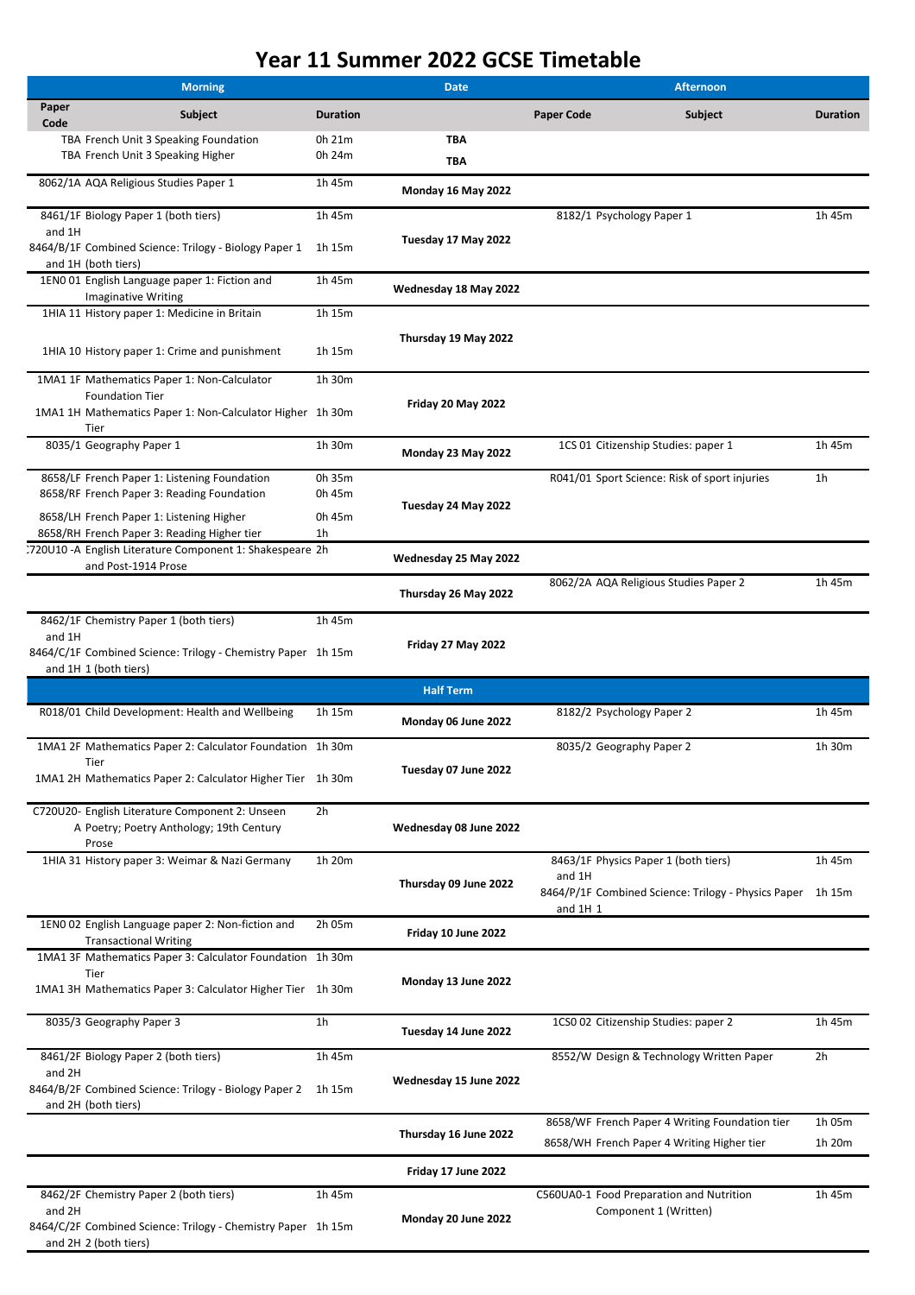| <b>Morning</b> |                                                                                                      |                          | <b>Date</b>              | <b>Afternoon</b>          |                                                                                             |                  |
|----------------|------------------------------------------------------------------------------------------------------|--------------------------|--------------------------|---------------------------|---------------------------------------------------------------------------------------------|------------------|
| Paper<br>Code  | <b>Subject</b>                                                                                       | <b>Duration</b>          |                          | <b>Paper Code</b>         | <b>Subject</b>                                                                              | <b>Duration</b>  |
|                | TBA French Unit 3 Speaking Foundation<br>TBA French Unit 3 Speaking Higher                           | 0h 21m<br>0h 24m         | <b>TBA</b><br><b>TBA</b> |                           |                                                                                             |                  |
|                | 8062/1A AQA Religious Studies Paper 1                                                                | 1h 45m                   | Monday 16 May 2022       |                           |                                                                                             |                  |
|                | 8461/1F Biology Paper 1 (both tiers)                                                                 | 1h 45m                   |                          | 8182/1 Psychology Paper 1 |                                                                                             | 1h 45m           |
| and 1H         | 8464/B/1F Combined Science: Trilogy - Biology Paper 1<br>and 1H (both tiers)                         | 1h 15m                   | Tuesday 17 May 2022      |                           |                                                                                             |                  |
|                | 1EN0 01 English Language paper 1: Fiction and<br><b>Imaginative Writing</b>                          | 1h 45m                   | Wednesday 18 May 2022    |                           |                                                                                             |                  |
|                | 1HIA 11 History paper 1: Medicine in Britain                                                         | 1h 15m                   |                          |                           |                                                                                             |                  |
|                | 1HIA 10 History paper 1: Crime and punishment                                                        | 1h 15m                   | Thursday 19 May 2022     |                           |                                                                                             |                  |
|                | 1MA1 1F Mathematics Paper 1: Non-Calculator<br><b>Foundation Tier</b>                                | 1h 30m                   |                          |                           |                                                                                             |                  |
|                | 1MA1 1H Mathematics Paper 1: Non-Calculator Higher 1h 30m<br>Tier                                    |                          | Friday 20 May 2022       |                           |                                                                                             |                  |
|                | 8035/1 Geography Paper 1                                                                             | 1h 30m                   | Monday 23 May 2022       |                           | 1CS 01 Citizenship Studies: paper 1                                                         | 1h 45m           |
|                | 8658/LF French Paper 1: Listening Foundation<br>8658/RF French Paper 3: Reading Foundation           | 0h 35m<br>0h 45m         |                          |                           | R041/01 Sport Science: Risk of sport injuries                                               | 1 <sub>h</sub>   |
|                | 8658/LH French Paper 1: Listening Higher<br>8658/RH French Paper 3: Reading Higher tier              | 0h 45m<br>1 <sub>h</sub> | Tuesday 24 May 2022      |                           |                                                                                             |                  |
|                | 720U10 -A English Literature Component 1: Shakespeare 2h<br>and Post-1914 Prose                      |                          | Wednesday 25 May 2022    |                           |                                                                                             |                  |
|                |                                                                                                      |                          | Thursday 26 May 2022     |                           | 8062/2A AQA Religious Studies Paper 2                                                       | 1h 45m           |
| and 1H         | 8462/1F Chemistry Paper 1 (both tiers)                                                               | 1h 45m                   |                          |                           |                                                                                             |                  |
|                | 8464/C/1F Combined Science: Trilogy - Chemistry Paper 1h 15m<br>and 1H 1 (both tiers)                |                          | Friday 27 May 2022       |                           |                                                                                             |                  |
|                |                                                                                                      |                          | <b>Half Term</b>         |                           |                                                                                             |                  |
|                | R018/01 Child Development: Health and Wellbeing                                                      | 1h 15m                   | Monday 06 June 2022      | 8182/2 Psychology Paper 2 |                                                                                             | 1h 45m           |
|                | 1MA1 2F Mathematics Paper 2: Calculator Foundation 1h 30m<br>Tier                                    |                          |                          | 8035/2 Geography Paper 2  |                                                                                             | 1h 30m           |
|                | 1MA1 2H Mathematics Paper 2: Calculator Higher Tier                                                  | 1h 30m                   | Tuesday 07 June 2022     |                           |                                                                                             |                  |
|                | C720U20- English Literature Component 2: Unseen<br>A Poetry; Poetry Anthology; 19th Century<br>Prose | 2h                       | Wednesday 08 June 2022   |                           |                                                                                             |                  |
|                | 1HIA 31 History paper 3: Weimar & Nazi Germany                                                       | 1h 20m                   | Thursday 09 June 2022    | and 1H<br>and $1H_1$      | 8463/1F Physics Paper 1 (both tiers)<br>8464/P/1F Combined Science: Trilogy - Physics Paper | 1h 45m<br>1h 15m |
|                | 1ENO 02 English Language paper 2: Non-fiction and<br><b>Transactional Writing</b>                    | 2h 05m                   | Friday 10 June 2022      |                           |                                                                                             |                  |
|                | 1MA1 3F Mathematics Paper 3: Calculator Foundation 1h 30m<br>Tier                                    |                          |                          |                           |                                                                                             |                  |
|                | 1MA1 3H Mathematics Paper 3: Calculator Higher Tier 1h 30m                                           |                          | Monday 13 June 2022      |                           |                                                                                             |                  |

| 8035/3 Geography Paper 3                                                                                                                  | 1 <sub>h</sub>   | Tuesday 14 June 2022                           | 1CS0 02 Citizenship Studies: paper 2                              | 1h 45m         |
|-------------------------------------------------------------------------------------------------------------------------------------------|------------------|------------------------------------------------|-------------------------------------------------------------------|----------------|
| 8461/2F Biology Paper 2 (both tiers)<br>and 2H<br>8464/B/2F Combined Science: Trilogy - Biology Paper 2<br>and 2H (both tiers)            | 1h 45m<br>1h 15m | Wednesday 15 June 2022                         | 8552/W Design & Technology Written Paper                          | 2 <sub>h</sub> |
|                                                                                                                                           |                  | 8658/WF French Paper 4 Writing Foundation tier | 1h 05m                                                            |                |
|                                                                                                                                           |                  | Thursday 16 June 2022                          | 8658/WH French Paper 4 Writing Higher tier                        | 1h 20m         |
|                                                                                                                                           |                  | Friday 17 June 2022                            |                                                                   |                |
| 8462/2F Chemistry Paper 2 (both tiers)<br>and 2H<br>8464/C/2F Combined Science: Trilogy - Chemistry Paper 1h 15m<br>and 2H 2 (both tiers) | 1h 45m           | Monday 20 June 2022                            | C560UA0-1 Food Preparation and Nutrition<br>Component 1 (Written) | 1h 45m         |

## **Year 11 Summer 2022 GCSE Timetable**